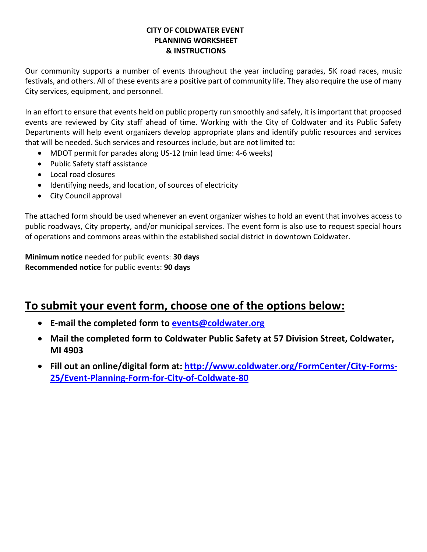## **CITY OF COLDWATER EVENT PLANNING WORKSHEET & INSTRUCTIONS**

Our community supports a number of events throughout the year including parades, 5K road races, music festivals, and others. All of these events are a positive part of community life. They also require the use of many City services, equipment, and personnel.

In an effort to ensure that events held on public property run smoothly and safely, it is important that proposed events are reviewed by City staff ahead of time. Working with the City of Coldwater and its Public Safety Departments will help event organizers develop appropriate plans and identify public resources and services that will be needed. Such services and resources include, but are not limited to:

- MDOT permit for parades along US-12 (min lead time: 4-6 weeks)
- Public Safety staff assistance
- Local road closures
- Identifying needs, and location, of sources of electricity
- City Council approval

The attached form should be used whenever an event organizer wishes to hold an event that involves access to public roadways, City property, and/or municipal services. The event form is also use to request special hours of operations and commons areas within the established social district in downtown Coldwater.

**Minimum notice** needed for public events: **30 days Recommended notice** for public events: **90 days**

# **To submit your event form, choose one of the options below:**

- **E-mail the completed form to [events@coldwater.org](mailto:events@coldwater.org)**
- **Mail the completed form to Coldwater Public Safety at 57 Division Street, Coldwater, MI 4903**
- **Fill out an online/digital form at: [http://www.coldwater.org/FormCenter/City-Forms-](http://www.coldwater.org/FormCenter/City-Forms-25/Event-Planning-Form-for-City-of-Coldwate-80)[25/Event-Planning-Form-for-City-of-Coldwate-80](http://www.coldwater.org/FormCenter/City-Forms-25/Event-Planning-Form-for-City-of-Coldwate-80)**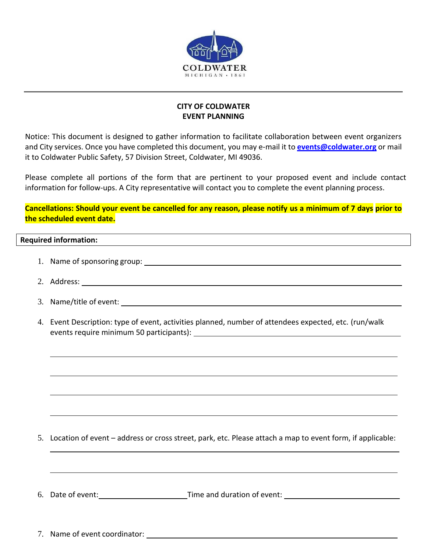

### **CITY OF COLDWATER EVENT PLANNING**

Notice: This document is designed to gather information to facilitate collaboration between event organizers and City services. Once you have completed this document, you may e-mail it to **[events@coldwater.org](mailto:events@coldwater.org)** or mail it to Coldwater Public Safety, 57 Division Street, Coldwater, MI 49036.

Please complete all portions of the form that are pertinent to your proposed event and include contact information for follow-ups. A City representative will contact you to complete the event planning process.

**Cancellations: Should your event be cancelled for any reason, please notify us a minimum of 7 days prior to the scheduled event date.**

## **Required information:**

- 1. Name of sponsoring group:
- 2. Address:
- 3. Name/title of event:
- 4. Event Description: type of event, activities planned, number of attendees expected, etc. (run/walk events require minimum 50 participants):

5. Location of event – address or cross street, park, etc. Please attach a map to event form, if applicable:

6. Date of event: Time and duration of event:

7. Name of event coordinator: